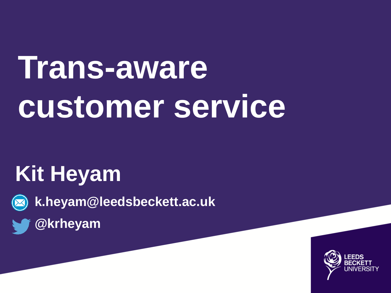# **Trans-aware customer service**

#### **Kit Heyam**

**k.heyam@leedsbeckett.ac.uk**

**@krheyam**

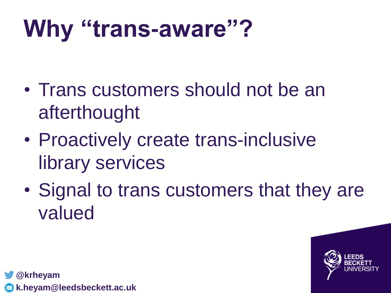#### **Why "trans-aware"?**

- Trans customers should not be an afterthought
- Proactively create trans-inclusive library services
- Signal to trans customers that they are valued

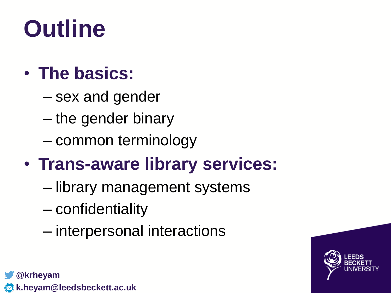#### **Outline**

#### • **The basics:**

- sex and gender
- the gender binary
- common terminology

#### • **Trans-aware library services:**

- library management systems
- confidentiality
- interpersonal interactions



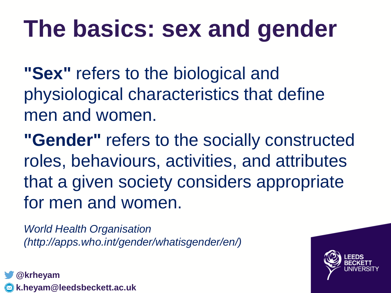#### **The basics: sex and gender**

**"Sex"** refers to the biological and physiological characteristics that define men and women.

**"Gender"** refers to the socially constructed roles, behaviours, activities, and attributes that a given society considers appropriate for men and women.

*World Health Organisation (http://apps.who.int/gender/whatisgender/en/)*

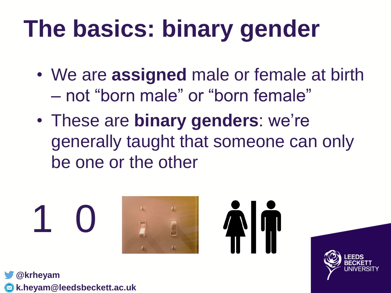#### **The basics: binary gender**

- We are **assigned** male or female at birth – not "born male" or "born female"
- These are **binary genders**: we're generally taught that someone can only be one or the other





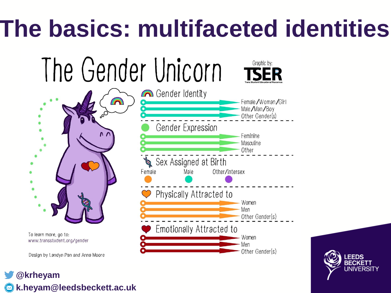### **The basics: multifaceted identities**



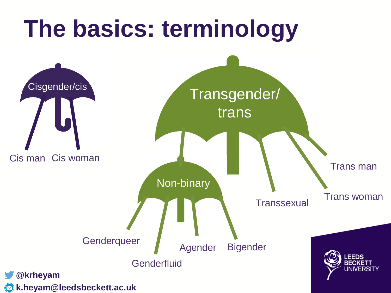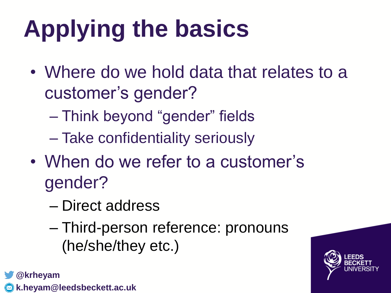# **Applying the basics**

- Where do we hold data that relates to a customer's gender?
	- Think beyond "gender" fields
	- Take confidentiality seriously
- When do we refer to a customer's gender?
	- Direct address
	- Third-person reference: pronouns (he/she/they etc.)

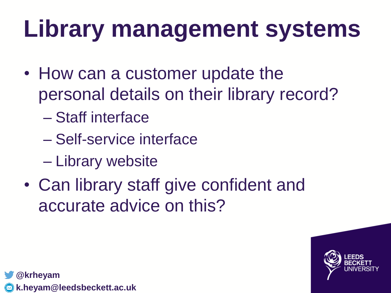## **Library management systems**

- How can a customer update the personal details on their library record?
	- Staff interface
	- Self-service interface
	- Library website
- Can library staff give confident and accurate advice on this?

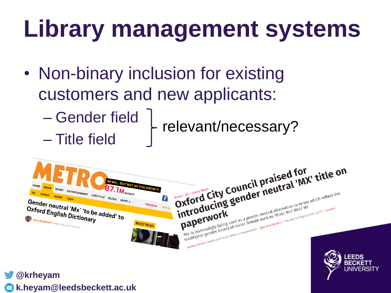### **Library management systems**

- Non-binary inclusion for existing customers and new applicants:
	- Gender field – Title field relevant/necessary?

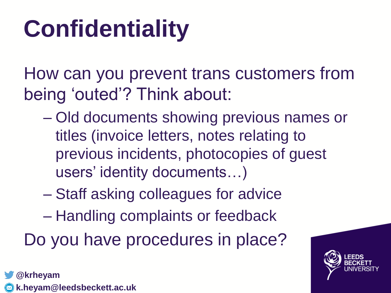### **Confidentiality**

How can you prevent trans customers from being 'outed'? Think about:

- Old documents showing previous names or titles (invoice letters, notes relating to previous incidents, photocopies of guest users' identity documents…)
- Staff asking colleagues for advice
- Handling complaints or feedback

Do you have procedures in place?



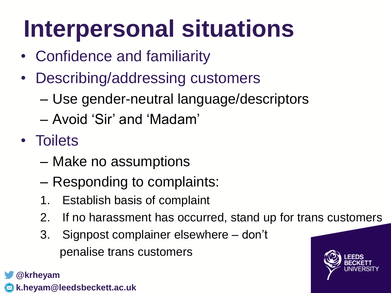### **Interpersonal situations**

- Confidence and familiarity
- Describing/addressing customers
	- Use gender-neutral language/descriptors
	- Avoid 'Sir' and 'Madam'
- Toilets
	- Make no assumptions
	- Responding to complaints:
	- 1. Establish basis of complaint
	- 2. If no harassment has occurred, stand up for trans customers
	- 3. Signpost complainer elsewhere don't penalise trans customers

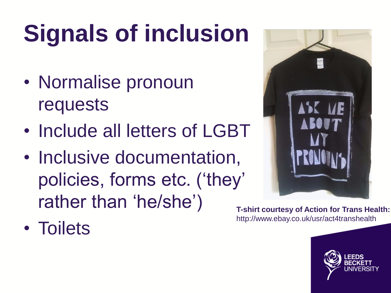# **Signals of inclusion**

- Normalise pronoun requests
- Include all letters of LGBT
- Inclusive documentation, policies, forms etc. ('they' rather than 'he/she')



**T-shirt courtesy of Action for Trans Health:**  http://www.ebay.co.uk/usr/act4transhealth

• Toilets